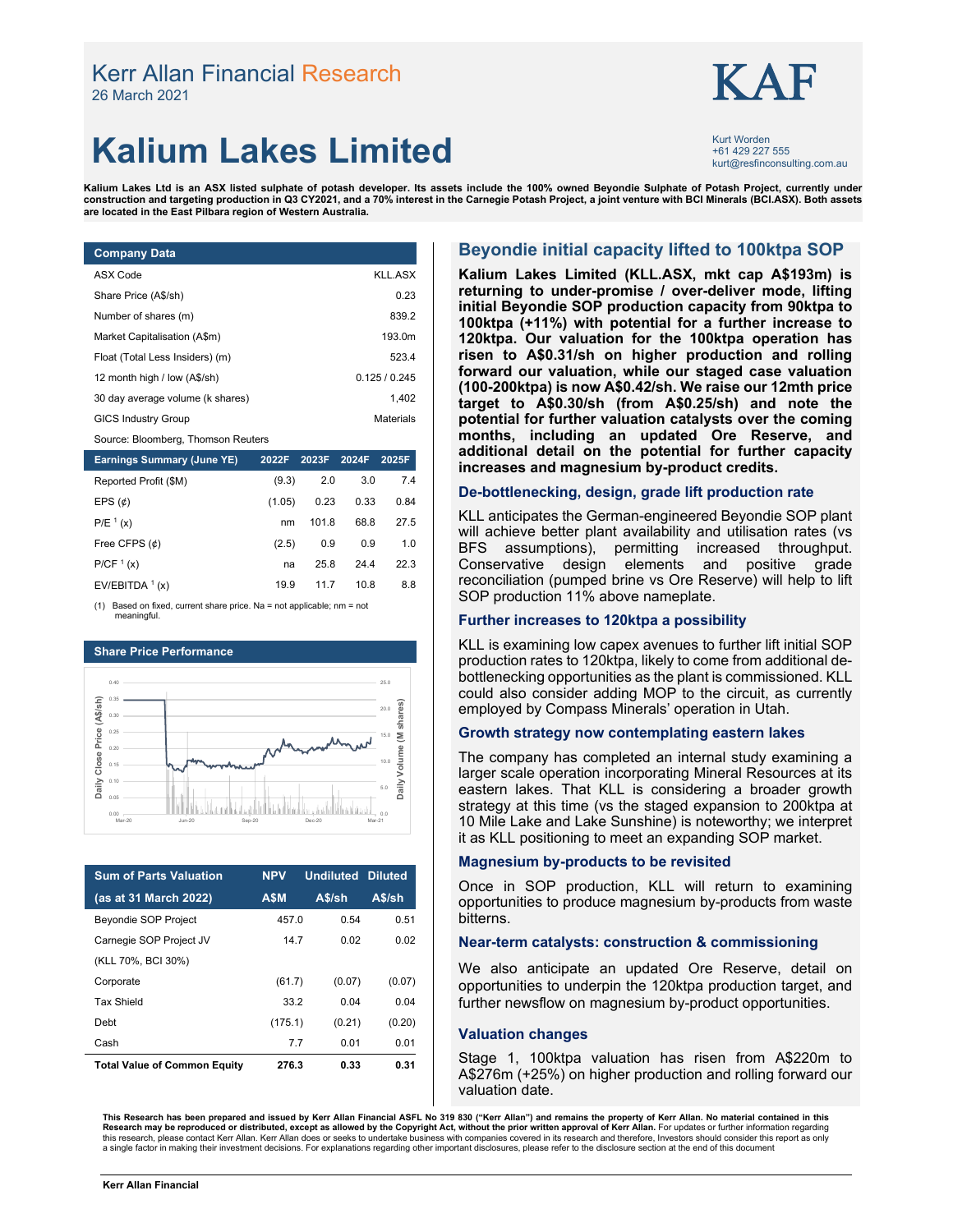# Kerr Allan Financial Research  $\mathbf{KAF}$ <br><sup>26 March 2021</sup>



## **Kalium Lakes Limited Kalium** kurt@resfinconsulting.com.au

Kurt Worden<br>+61 429 227 555

**Kalium Lakes Ltd is an ASX listed sulphate of potash developer. Its assets include the 100% owned Beyondie Sulphate of Potash Project, currently under construction and targeting production in Q3 CY2021, and a 70% interest in the Carnegie Potash Project, a joint venture with BCI Minerals (BCI.ASX). Both assets are located in the East Pilbara region of Western Australia.**

| <b>Company Data</b>                |             |
|------------------------------------|-------------|
| ASX Code                           | KLL ASX     |
| Share Price (A\$/sh)               | 0.23        |
| Number of shares (m)               | 839.2       |
| Market Capitalisation (A\$m)       | 193.0m      |
| Float (Total Less Insiders) (m)    | 523.4       |
| 12 month high / low (A\$/sh)       | 0.125/0.245 |
| 30 day average volume (k shares)   | 1.402       |
| <b>GICS Industry Group</b>         | Materials   |
| Source: Bloomberg, Thomson Reuters |             |

| <b>Earnings Summary (June YE)</b> | 2022F  | 2023F | 2024F | 2025F |
|-----------------------------------|--------|-------|-------|-------|
| Reported Profit (\$M)             | (9.3)  | 2.0   | 3.0   | 7.4   |
| EPS $(\phi)$                      | (1.05) | 0.23  | 0.33  | 0.84  |
| $P/E^{1}(x)$                      | nm     | 101.8 | 68.8  | 27.5  |
| Free CFPS $(\phi)$                | (2.5)  | 0.9   | 0.9   | 1.0   |
| P/CF <sup>1</sup> (x)             | na     | 25.8  | 24.4  | 22.3  |
| EV/EBITDA $1(x)$                  | 19.9   | 11.7  | 10.8  | 8.8   |

(1) Based on fixed, current share price. Na = not applicable; nm = not meaningful.



| <b>Sum of Parts Valuation</b>       | <b>NPV</b> | <b>Undiluted Diluted</b> |        |
|-------------------------------------|------------|--------------------------|--------|
| (as at 31 March 2022)               | <b>ASM</b> | A\$/sh                   | A\$/sh |
| <b>Beyondie SOP Project</b>         | 457.0      | 0.54                     | 0.51   |
| Carnegie SOP Project JV             | 147        | 0.02                     | 0.02   |
| (KLL 70%, BCI 30%)                  |            |                          |        |
| Corporate                           | (61.7)     | (0.07)                   | (0.07) |
| <b>Tax Shield</b>                   | 33.2       | 0.04                     | 0.04   |
| Debt                                | (175.1)    | (0.21)                   | (0.20) |
| Cash                                | 7.7        | 0.01                     | 0.01   |
| <b>Total Value of Common Equity</b> | 276.3      | 0.33                     | 0.31   |

#### **Beyondie initial capacity lifted to 100ktpa SOP**

**Kalium Lakes Limited (KLL.ASX, mkt cap A\$193m) is returning to under-promise / over-deliver mode, lifting initial Beyondie SOP production capacity from 90ktpa to 100ktpa (+11%) with potential for a further increase to 120ktpa. Our valuation for the 100ktpa operation has risen to A\$0.31/sh on higher production and rolling forward our valuation, while our staged case valuation (100-200ktpa) is now A\$0.42/sh. We raise our 12mth price target to A\$0.30/sh (from A\$0.25/sh) and note the potential for further valuation catalysts over the coming months, including an updated Ore Reserve, and additional detail on the potential for further capacity increases and magnesium by-product credits.** 

#### **De-bottlenecking, design, grade lift production rate**

KLL anticipates the German-engineered Beyondie SOP plant will achieve better plant availability and utilisation rates (vs BFS assumptions), permitting increased throughput. Conservative design elements and positive grade reconciliation (pumped brine vs Ore Reserve) will help to lift SOP production 11% above nameplate.

#### **Further increases to 120ktpa a possibility**

KLL is examining low capex avenues to further lift initial SOP production rates to 120ktpa, likely to come from additional debottlenecking opportunities as the plant is commissioned. KLL could also consider adding MOP to the circuit, as currently employed by Compass Minerals' operation in Utah.

#### **Growth strategy now contemplating eastern lakes**

The company has completed an internal study examining a larger scale operation incorporating Mineral Resources at its eastern lakes. That KLL is considering a broader growth strategy at this time (vs the staged expansion to 200ktpa at 10 Mile Lake and Lake Sunshine) is noteworthy; we interpret it as KLL positioning to meet an expanding SOP market.

#### **Magnesium by-products to be revisited**

Once in SOP production, KLL will return to examining opportunities to produce magnesium by-products from waste bitterns.

#### **Near-term catalysts: construction & commissioning**

We also anticipate an updated Ore Reserve, detail on opportunities to underpin the 120ktpa production target, and further newsflow on magnesium by-product opportunities.

#### **Valuation changes**

Stage 1, 100ktpa valuation has risen from A\$220m to A\$276m (+25%) on higher production and rolling forward our valuation date.

This Research has been prepared and issued by Kerr Allan Financial ASFL No 319 830 ("Kerr Allan") and remains the property of Kerr Allan. No material contained in this<br>Research may be reproduced or distributed, except as a a single factor in making their investment decisions. For explanations regarding other important disclosures, please refer to the disclosure section at the end of this document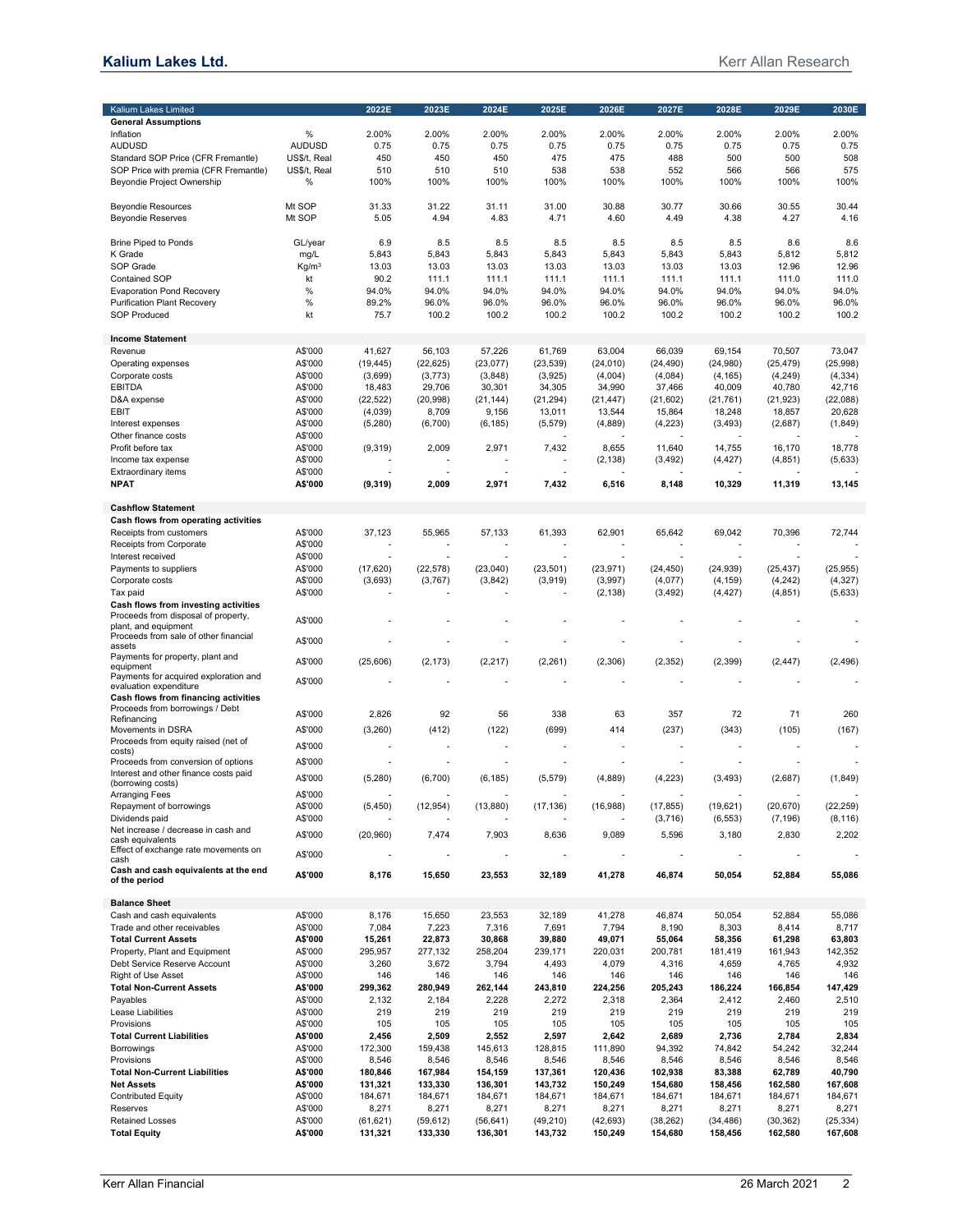| Kalium Lakes Limited                                        |                    | 2022E            | 2023E            | 2024E                    | 2025E                    | 2026E                    | 2027E            | 2028E                    | 2029E            | 2030E            |
|-------------------------------------------------------------|--------------------|------------------|------------------|--------------------------|--------------------------|--------------------------|------------------|--------------------------|------------------|------------------|
| <b>General Assumptions</b>                                  |                    |                  |                  |                          |                          |                          |                  |                          |                  |                  |
| Inflation                                                   | %                  | 2.00%            | 2.00%            | 2.00%                    | 2.00%                    | 2.00%                    | 2.00%            | 2.00%                    | 2.00%            | 2.00%            |
| <b>AUDUSD</b>                                               | <b>AUDUSD</b>      | 0.75             | 0.75             | 0.75                     | 0.75                     | 0.75                     | 0.75             | 0.75                     | 0.75             | 0.75             |
| Standard SOP Price (CFR Fremantle)                          | US\$/t, Real       | 450              | 450              | 450                      | 475                      | 475                      | 488              | 500                      | 500              | 508              |
| SOP Price with premia (CFR Fremantle)                       | US\$/t, Real       | 510              | 510              | 510                      | 538                      | 538                      | 552              | 566                      | 566              | 575              |
| Beyondie Project Ownership                                  | %                  | 100%             | 100%             | 100%                     | 100%                     | 100%                     | 100%             | 100%                     | 100%             | 100%             |
| <b>Beyondie Resources</b>                                   | Mt SOP             | 31.33            | 31.22            | 31.11                    | 31.00                    | 30.88                    | 30.77            | 30.66                    | 30.55            | 30.44            |
| <b>Beyondie Reserves</b>                                    | Mt SOP             | 5.05             | 4.94             | 4.83                     | 4.71                     | 4.60                     | 4.49             | 4.38                     | 4.27             | 4.16             |
| <b>Brine Piped to Ponds</b>                                 | GL/year            | 6.9              | 8.5              | 8.5                      | 8.5                      | 8.5                      | 8.5              | 8.5                      | 8.6              | 8.6              |
| K Grade                                                     | mg/L               | 5,843            | 5,843            | 5,843                    | 5,843                    | 5,843                    | 5,843            | 5,843                    | 5,812            | 5,812            |
| SOP Grade                                                   | Kg/m <sup>3</sup>  | 13.03            | 13.03            | 13.03                    | 13.03                    | 13.03                    | 13.03            | 13.03                    | 12.96            | 12.96            |
| <b>Contained SOP</b>                                        | kt                 | 90.2             | 111.1            | 111.1                    | 111.1                    | 111.1                    | 111.1            | 111.1                    | 111.0            | 111.0            |
| <b>Evaporation Pond Recovery</b>                            | %                  | 94.0%            | 94.0%            | 94.0%                    | 94.0%                    | 94.0%                    | 94.0%            | 94.0%                    | 94.0%            | 94.0%            |
| <b>Purification Plant Recovery</b>                          | %                  | 89.2%            | 96.0%            | 96.0%                    | 96.0%                    | 96.0%                    | 96.0%            | 96.0%                    | 96.0%            | 96.0%            |
| <b>SOP Produced</b>                                         | kt                 | 75.7             | 100.2            | 100.2                    | 100.2                    | 100.2                    | 100.2            | 100.2                    | 100.2            | 100.2            |
| <b>Income Statement</b>                                     |                    |                  |                  |                          |                          |                          |                  |                          |                  |                  |
| Revenue                                                     | A\$'000            | 41,627           | 56,103           | 57,226                   | 61,769                   | 63,004                   | 66,039           | 69,154                   | 70,507           | 73,047           |
| Operating expenses                                          | A\$'000            | (19, 445)        | (22, 625)        | (23, 077)                | (23, 539)                | (24, 010)                | (24, 490)        | (24,980)                 | (25, 479)        | (25, 998)        |
| Corporate costs                                             | A\$'000            | (3,699)          | (3,773)          | (3,848)                  | (3,925)                  | (4,004)                  | (4,084)          | (4, 165)                 | (4, 249)         | (4, 334)         |
| <b>EBITDA</b>                                               | A\$'000            | 18,483           | 29,706           | 30,301                   | 34,305                   | 34,990                   | 37,466           | 40,009                   | 40,780           | 42,716           |
| D&A expense                                                 | A\$'000            | (22, 522)        | (20, 998)        | (21, 144)                | (21, 294)                | (21, 447)                | (21,602)         | (21, 761)                | (21, 923)        | (22,088)         |
| EBIT                                                        | A\$'000            | (4,039)          | 8,709            | 9,156                    | 13,011                   | 13,544                   | 15,864           | 18,248                   | 18,857           | 20,628           |
| Interest expenses<br>Other finance costs                    | A\$'000<br>A\$'000 | (5,280)          | (6,700)          | (6, 185)                 | (5, 579)                 | (4,889)                  | (4,223)          | (3, 493)                 | (2,687)          | (1,849)          |
| Profit before tax                                           | A\$'000            | (9,319)          | 2,009            | 2,971                    | 7,432                    | 8,655                    | 11,640           | 14,755                   | 16,170           | 18,778           |
| Income tax expense                                          | A\$'000            |                  |                  |                          |                          | (2, 138)                 | (3, 492)         | (4, 427)                 | (4, 851)         | (5,633)          |
| <b>Extraordinary items</b>                                  | A\$'000            |                  |                  |                          |                          |                          |                  |                          |                  |                  |
| <b>NPAT</b>                                                 | A\$'000            | (9,319)          | 2,009            | 2,971                    | 7,432                    | 6,516                    | 8,148            | 10,329                   | 11,319           | 13,145           |
| <b>Cashflow Statement</b>                                   |                    |                  |                  |                          |                          |                          |                  |                          |                  |                  |
| Cash flows from operating activities                        |                    |                  |                  |                          |                          |                          |                  |                          |                  |                  |
| Receipts from customers                                     | A\$'000            | 37,123           | 55,965           | 57,133                   | 61,393                   | 62,901                   | 65,642           | 69,042                   | 70,396           | 72,744           |
| Receipts from Corporate                                     | A\$'000            |                  |                  |                          |                          |                          |                  |                          |                  |                  |
| Interest received                                           | A\$'000            |                  |                  |                          |                          | ٠                        |                  |                          |                  |                  |
| Payments to suppliers                                       | A\$'000            | (17, 620)        | (22, 578)        | (23, 040)                | (23, 501)                | (23, 971)                | (24, 450)        | (24, 939)                | (25, 437)        | (25, 955)        |
| Corporate costs                                             | A\$'000            | (3,693)          | (3,767)          | (3,842)                  | (3,919)                  | (3,997)                  | (4,077)          | (4, 159)                 | (4,242)          | (4, 327)         |
| Tax paid                                                    | A\$'000            |                  |                  |                          |                          | (2, 138)                 | (3, 492)         | (4, 427)                 | (4, 851)         | (5,633)          |
| Cash flows from investing activities                        |                    |                  |                  |                          |                          |                          |                  |                          |                  |                  |
| Proceeds from disposal of property,<br>plant, and equipment | A\$'000            |                  |                  |                          |                          |                          |                  |                          |                  |                  |
| Proceeds from sale of other financial                       |                    |                  |                  |                          |                          |                          |                  |                          |                  |                  |
| assets                                                      | A\$'000            |                  |                  |                          |                          | Ē.                       |                  |                          |                  |                  |
| Payments for property, plant and<br>equipment               | A\$'000            | (25,606)         | (2, 173)         | (2, 217)                 | (2, 261)                 | (2,306)                  | (2, 352)         | (2, 399)                 | (2, 447)         | (2, 496)         |
| Payments for acquired exploration and                       |                    |                  |                  |                          |                          |                          |                  |                          |                  |                  |
| evaluation expenditure                                      | A\$'000            |                  |                  |                          |                          |                          |                  |                          |                  |                  |
| Cash flows from financing activities                        |                    |                  |                  |                          |                          |                          |                  |                          |                  |                  |
| Proceeds from borrowings / Debt                             | A\$'000            | 2,826            | 92               | 56                       | 338                      | 63                       | 357              | 72                       | 71               | 260              |
| Refinancing<br>Movements in DSRA                            | A\$'000            | (3,260)          | (412)            | (122)                    | (699)                    | 414                      | (237)            | (343)                    | (105)            | (167)            |
| Proceeds from equity raised (net of                         |                    |                  |                  |                          |                          |                          |                  |                          |                  |                  |
| costs)                                                      | A\$'000            |                  |                  |                          |                          |                          |                  |                          |                  |                  |
| Proceeds from conversion of options                         | A\$'000            |                  |                  |                          |                          | Ĭ.                       |                  |                          |                  |                  |
| Interest and other finance costs paid                       | A\$'000            | (5, 280)         | (6,700)          | (6, 185)                 | (5, 579)                 | (4,889)                  | (4, 223)         | (3, 493)                 | (2,687)          | (1, 849)         |
| (borrowing costs)<br>Arranging Fees                         | A\$'000            |                  |                  |                          |                          |                          |                  |                          |                  |                  |
| Repayment of borrowings                                     | A\$'000            | (5,450)          | (12, 954)        | (13,880)                 | (17, 136)                | (16,988)                 | (17, 855)        | (19,621)                 | (20, 670)        | (22, 259)        |
| Dividends paid                                              | A\$'000            |                  |                  |                          |                          |                          | (3,716)          | (6, 553)                 | (7, 196)         | (8, 116)         |
| Net increase / decrease in cash and                         | A\$'000            | (20, 960)        | 7,474            | 7,903                    | 8,636                    | 9,089                    | 5,596            | 3,180                    | 2,830            | 2,202            |
| cash equivalents<br>Effect of exchange rate movements on    |                    |                  |                  |                          |                          |                          |                  |                          |                  |                  |
| cash<br>Cash and cash equivalents at the end                | A\$'000            |                  |                  | $\overline{\phantom{a}}$ | $\overline{\phantom{m}}$ | $\overline{\phantom{m}}$ |                  | $\overline{\phantom{a}}$ |                  |                  |
| of the period                                               | A\$'000            | 8,176            | 15,650           | 23,553                   | 32,189                   | 41,278                   | 46,874           | 50,054                   | 52,884           | 55,086           |
| <b>Balance Sheet</b>                                        |                    |                  |                  |                          |                          |                          |                  |                          |                  |                  |
| Cash and cash equivalents                                   | A\$'000            | 8,176            | 15,650           | 23,553                   | 32,189                   | 41,278                   | 46,874           | 50,054                   | 52,884           | 55,086           |
| Trade and other receivables                                 | A\$'000            | 7,084            | 7,223            | 7,316                    | 7,691                    | 7,794                    | 8,190            | 8,303                    | 8,414            | 8,717            |
| <b>Total Current Assets</b>                                 | A\$'000            | 15,261           | 22,873           | 30,868                   | 39,880                   | 49,071                   | 55,064           | 58,356                   | 61,298           | 63,803           |
| Property, Plant and Equipment                               | A\$'000            | 295,957          | 277,132          | 258,204                  | 239,171                  | 220,031                  | 200,781          | 181,419                  | 161,943          | 142,352          |
| Debt Service Reserve Account                                | A\$'000            | 3,260            | 3,672            | 3,794                    | 4,493                    | 4,079                    | 4,316            | 4,659                    | 4,765            | 4,932            |
| Right of Use Asset                                          | A\$'000            | 146              | 146              | 146                      | 146                      | 146                      | 146              | 146                      | 146              | 146              |
| <b>Total Non-Current Assets</b><br>Payables                 | A\$'000<br>A\$'000 | 299,362<br>2,132 | 280,949<br>2,184 | 262,144                  | 243,810<br>2,272         | 224,256<br>2,318         | 205,243<br>2,364 | 186,224<br>2,412         | 166,854<br>2,460 | 147,429<br>2,510 |
| Lease Liabilities                                           | A\$'000            | 219              | 219              | 2,228<br>219             | 219                      | 219                      | 219              | 219                      | 219              | 219              |
| Provisions                                                  | A\$'000            | 105              | 105              | 105                      | 105                      | 105                      | 105              | 105                      | 105              | 105              |
| <b>Total Current Liabilities</b>                            | A\$'000            | 2,456            | 2,509            | 2,552                    | 2,597                    | 2,642                    | 2,689            | 2,736                    | 2,784            | 2,834            |
| Borrowings                                                  | A\$'000            | 172,300          | 159,438          | 145,613                  | 128,815                  | 111,890                  | 94,392           | 74,842                   | 54,242           | 32,244           |
| Provisions                                                  | A\$'000            | 8,546            | 8,546            | 8,546                    | 8,546                    | 8,546                    | 8,546            | 8,546                    | 8,546            | 8,546            |
| <b>Total Non-Current Liabilities</b>                        | A\$'000            | 180,846          | 167,984          | 154,159                  | 137,361                  | 120,436                  | 102,938          | 83,388                   | 62,789           | 40,790           |
| <b>Net Assets</b>                                           | A\$'000            | 131,321          | 133,330          | 136,301                  | 143,732                  | 150,249                  | 154,680          | 158,456                  | 162,580          | 167,608          |
| <b>Contributed Equity</b>                                   | A\$'000            | 184,671          | 184,671          | 184,671                  | 184,671                  | 184,671                  | 184,671          | 184,671                  | 184,671          | 184,671          |
| Reserves                                                    | A\$'000            | 8,271            | 8,271            | 8,271                    | 8,271                    | 8,271                    | 8,271            | 8,271                    | 8,271            | 8,271            |
| <b>Retained Losses</b>                                      | A\$'000            | (61, 621)        | (59, 612)        | (56, 641)                | (49, 210)                | (42, 693)                | (38, 262)        | (34, 486)                | (30, 362)        | (25, 334)        |
| <b>Total Equity</b>                                         | A\$'000            | 131,321          | 133,330          | 136,301                  | 143,732                  | 150,249                  | 154,680          | 158,456                  | 162,580          | 167,608          |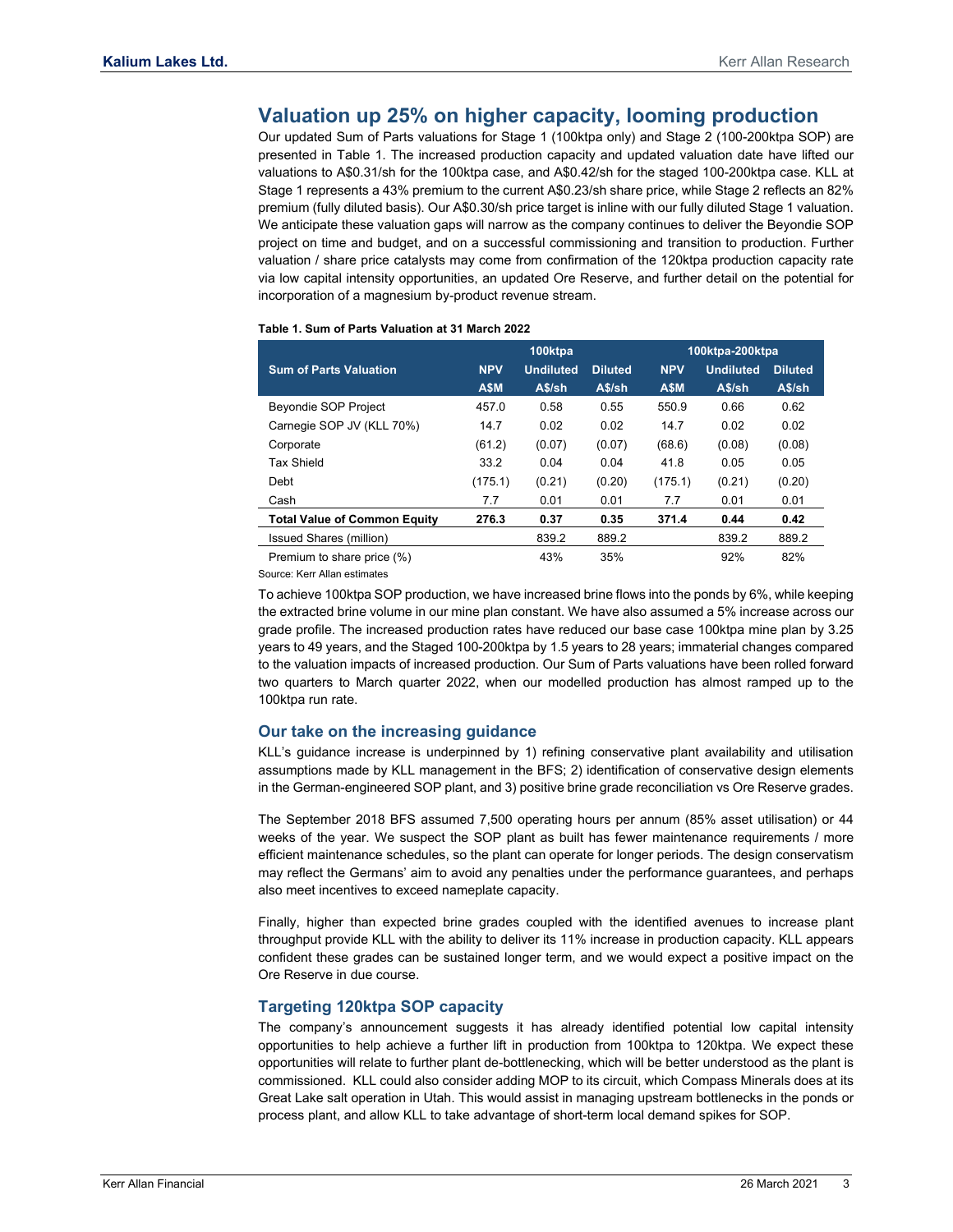### **Valuation up 25% on higher capacity, looming production**

Our updated Sum of Parts valuations for Stage 1 (100ktpa only) and Stage 2 (100-200ktpa SOP) are presented in Table 1. The increased production capacity and updated valuation date have lifted our valuations to A\$0.31/sh for the 100ktpa case, and A\$0.42/sh for the staged 100-200ktpa case. KLL at Stage 1 represents a 43% premium to the current A\$0.23/sh share price, while Stage 2 reflects an 82% premium (fully diluted basis). Our A\$0.30/sh price target is inline with our fully diluted Stage 1 valuation. We anticipate these valuation gaps will narrow as the company continues to deliver the Beyondie SOP project on time and budget, and on a successful commissioning and transition to production. Further valuation / share price catalysts may come from confirmation of the 120ktpa production capacity rate via low capital intensity opportunities, an updated Ore Reserve, and further detail on the potential for incorporation of a magnesium by-product revenue stream.

|                                     |            | 100ktpa          |                | 100ktpa-200ktpa |                  |                |
|-------------------------------------|------------|------------------|----------------|-----------------|------------------|----------------|
| <b>Sum of Parts Valuation</b>       | <b>NPV</b> | <b>Undiluted</b> | <b>Diluted</b> | <b>NPV</b>      | <b>Undiluted</b> | <b>Diluted</b> |
|                                     | A\$M       | A\$/sh           | A\$/sh         | A\$M            | A\$/sh           | A\$/sh         |
| Beyondie SOP Project                | 457.0      | 0.58             | 0.55           | 550.9           | 0.66             | 0.62           |
| Carnegie SOP JV (KLL 70%)           | 14.7       | 0.02             | 0.02           | 14.7            | 0.02             | 0.02           |
| Corporate                           | (61.2)     | (0.07)           | (0.07)         | (68.6)          | (0.08)           | (0.08)         |
| <b>Tax Shield</b>                   | 33.2       | 0.04             | 0.04           | 41.8            | 0.05             | 0.05           |
| Debt                                | (175.1)    | (0.21)           | (0.20)         | (175.1)         | (0.21)           | (0.20)         |
| Cash                                | 7.7        | 0.01             | 0.01           | 7.7             | 0.01             | 0.01           |
| <b>Total Value of Common Equity</b> | 276.3      | 0.37             | 0.35           | 371.4           | 0.44             | 0.42           |
| Issued Shares (million)             |            | 839.2            | 889.2          |                 | 839.2            | 889.2          |
| Premium to share price (%)          |            | 43%              | 35%            |                 | 92%              | 82%            |

#### **Table 1. Sum of Parts Valuation at 31 March 2022**

Source: Kerr Allan estimates

To achieve 100ktpa SOP production, we have increased brine flows into the ponds by 6%, while keeping the extracted brine volume in our mine plan constant. We have also assumed a 5% increase across our grade profile. The increased production rates have reduced our base case 100ktpa mine plan by 3.25 years to 49 years, and the Staged 100-200ktpa by 1.5 years to 28 years; immaterial changes compared to the valuation impacts of increased production. Our Sum of Parts valuations have been rolled forward two quarters to March quarter 2022, when our modelled production has almost ramped up to the 100ktpa run rate.

#### **Our take on the increasing guidance**

KLL's guidance increase is underpinned by 1) refining conservative plant availability and utilisation assumptions made by KLL management in the BFS; 2) identification of conservative design elements in the German-engineered SOP plant, and 3) positive brine grade reconciliation vs Ore Reserve grades.

The September 2018 BFS assumed 7,500 operating hours per annum (85% asset utilisation) or 44 weeks of the year. We suspect the SOP plant as built has fewer maintenance requirements / more efficient maintenance schedules, so the plant can operate for longer periods. The design conservatism may reflect the Germans' aim to avoid any penalties under the performance guarantees, and perhaps also meet incentives to exceed nameplate capacity.

Finally, higher than expected brine grades coupled with the identified avenues to increase plant throughput provide KLL with the ability to deliver its 11% increase in production capacity. KLL appears confident these grades can be sustained longer term, and we would expect a positive impact on the Ore Reserve in due course.

#### **Targeting 120ktpa SOP capacity**

The company's announcement suggests it has already identified potential low capital intensity opportunities to help achieve a further lift in production from 100ktpa to 120ktpa. We expect these opportunities will relate to further plant de-bottlenecking, which will be better understood as the plant is commissioned. KLL could also consider adding MOP to its circuit, which Compass Minerals does at its Great Lake salt operation in Utah. This would assist in managing upstream bottlenecks in the ponds or process plant, and allow KLL to take advantage of short-term local demand spikes for SOP.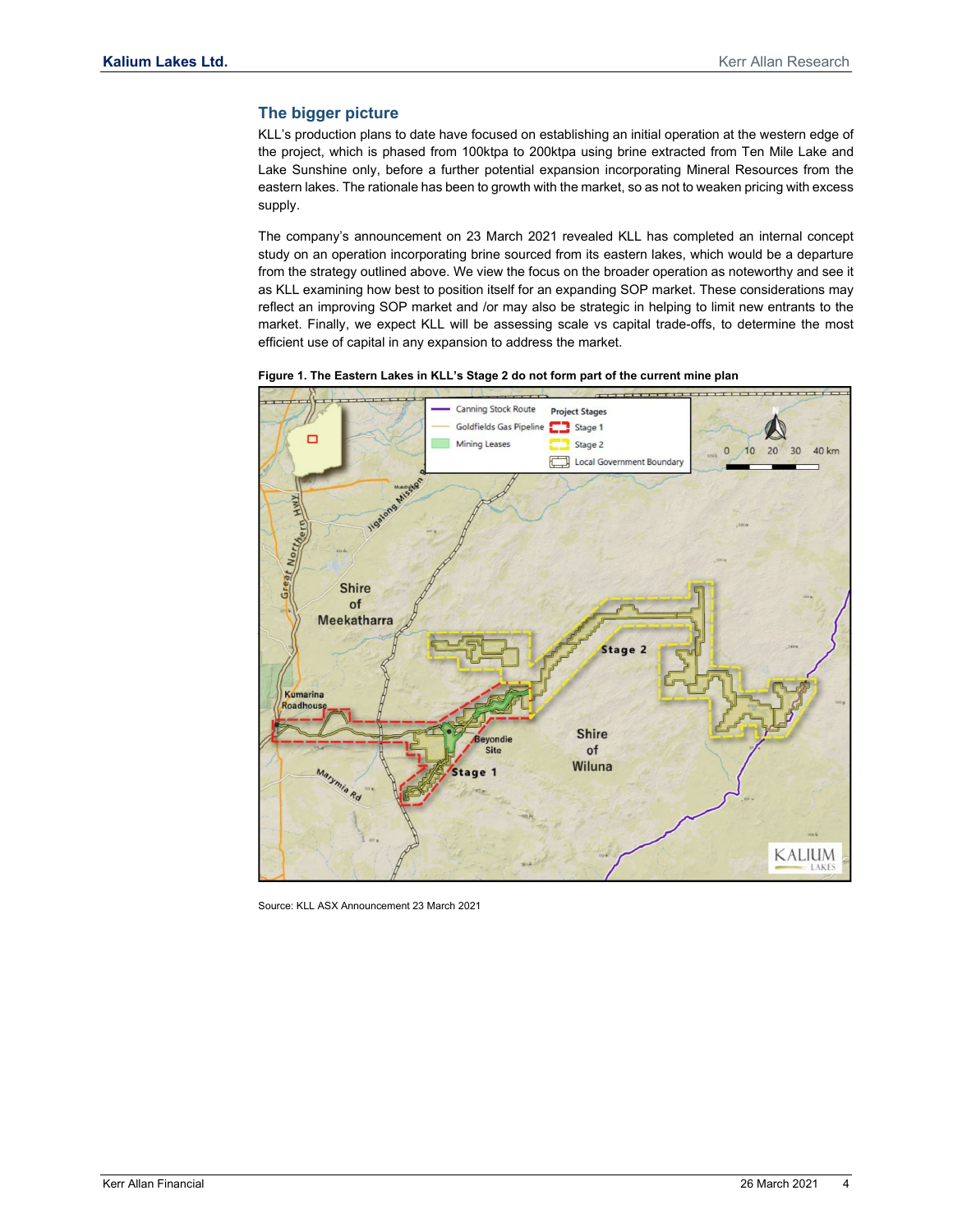#### **The bigger picture**

KLL's production plans to date have focused on establishing an initial operation at the western edge of the project, which is phased from 100ktpa to 200ktpa using brine extracted from Ten Mile Lake and Lake Sunshine only, before a further potential expansion incorporating Mineral Resources from the eastern lakes. The rationale has been to growth with the market, so as not to weaken pricing with excess supply.

The company's announcement on 23 March 2021 revealed KLL has completed an internal concept study on an operation incorporating brine sourced from its eastern lakes, which would be a departure from the strategy outlined above. We view the focus on the broader operation as noteworthy and see it as KLL examining how best to position itself for an expanding SOP market. These considerations may reflect an improving SOP market and /or may also be strategic in helping to limit new entrants to the market. Finally, we expect KLL will be assessing scale vs capital trade-offs, to determine the most efficient use of capital in any expansion to address the market.



**Figure 1. The Eastern Lakes in KLL's Stage 2 do not form part of the current mine plan** 

Source: KLL ASX Announcement 23 March 2021